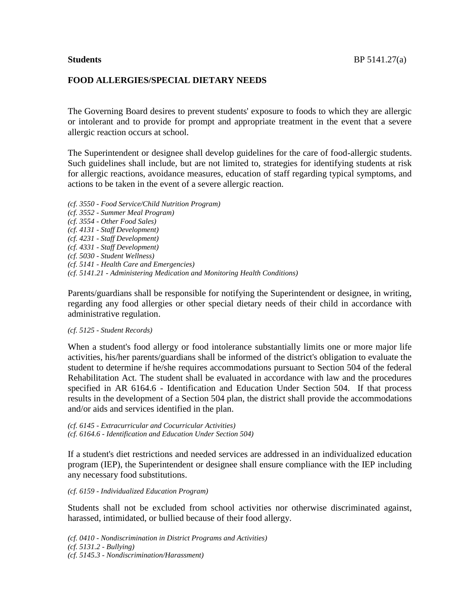#### **FOOD ALLERGIES/SPECIAL DIETARY NEEDS**

The Governing Board desires to prevent students' exposure to foods to which they are allergic or intolerant and to provide for prompt and appropriate treatment in the event that a severe allergic reaction occurs at school.

The Superintendent or designee shall develop guidelines for the care of food-allergic students. Such guidelines shall include, but are not limited to, strategies for identifying students at risk for allergic reactions, avoidance measures, education of staff regarding typical symptoms, and actions to be taken in the event of a severe allergic reaction.

*(cf. 3550 - Food Service/Child Nutrition Program) (cf. 3552 - Summer Meal Program) (cf. 3554 - Other Food Sales) (cf. 4131 - Staff Development) (cf. 4231 - Staff Development) (cf. 4331 - Staff Development) (cf. 5030 - Student Wellness) (cf. 5141 - Health Care and Emergencies) (cf. 5141.21 - Administering Medication and Monitoring Health Conditions)*

Parents/guardians shall be responsible for notifying the Superintendent or designee, in writing, regarding any food allergies or other special dietary needs of their child in accordance with administrative regulation.

#### *(cf. 5125 - Student Records)*

When a student's food allergy or food intolerance substantially limits one or more major life activities, his/her parents/guardians shall be informed of the district's obligation to evaluate the student to determine if he/she requires accommodations pursuant to Section 504 of the federal Rehabilitation Act. The student shall be evaluated in accordance with law and the procedures specified in AR 6164.6 - Identification and Education Under Section 504. If that process results in the development of a Section 504 plan, the district shall provide the accommodations and/or aids and services identified in the plan.

*(cf. 6145 - Extracurricular and Cocurricular Activities) (cf. 6164.6 - Identification and Education Under Section 504)*

If a student's diet restrictions and needed services are addressed in an individualized education program (IEP), the Superintendent or designee shall ensure compliance with the IEP including any necessary food substitutions.

*(cf. 6159 - Individualized Education Program)*

Students shall not be excluded from school activities nor otherwise discriminated against, harassed, intimidated, or bullied because of their food allergy.

*(cf. 0410 - Nondiscrimination in District Programs and Activities) (cf. 5131.2 - Bullying) (cf. 5145.3 - Nondiscrimination/Harassment)*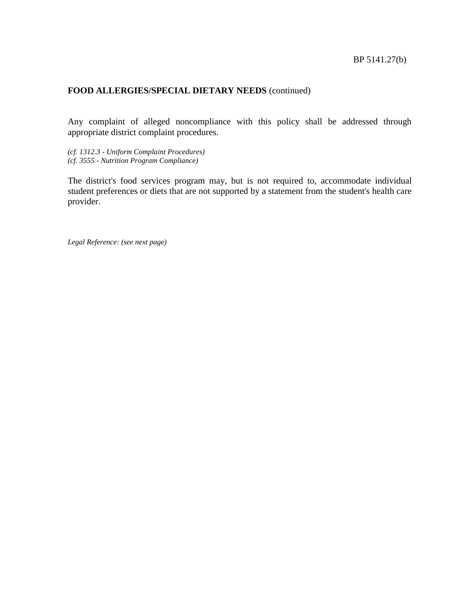Any complaint of alleged noncompliance with this policy shall be addressed through appropriate district complaint procedures.

*(cf. 1312.3 - Uniform Complaint Procedures) (cf. 3555 - Nutrition Program Compliance)*

The district's food services program may, but is not required to, accommodate individual student preferences or diets that are not supported by a statement from the student's health care provider.

*Legal Reference: (see next page)*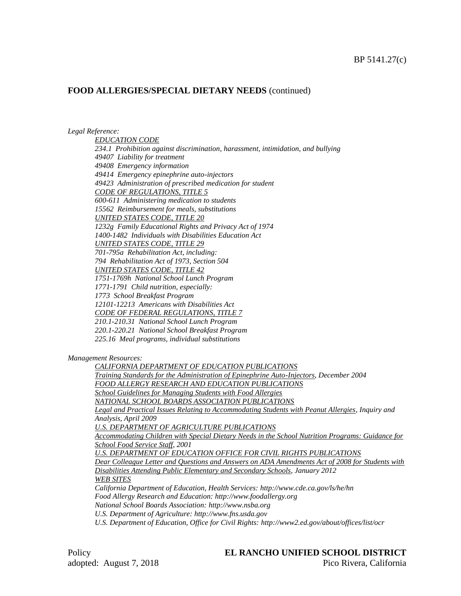#### *Legal Reference:*

*EDUCATION CODE 234.1 Prohibition against discrimination, harassment, intimidation, and bullying 49407 Liability for treatment 49408 Emergency information 49414 Emergency epinephrine auto-injectors 49423 Administration of prescribed medication for student CODE OF REGULATIONS, TITLE 5 600-611 Administering medication to students 15562 Reimbursement for meals, substitutions UNITED STATES CODE, TITLE 20 1232g Family Educational Rights and Privacy Act of 1974 1400-1482 Individuals with Disabilities Education Act UNITED STATES CODE, TITLE 29 701-795a Rehabilitation Act, including: 794 Rehabilitation Act of 1973, Section 504 UNITED STATES CODE, TITLE 42 1751-1769h National School Lunch Program 1771-1791 Child nutrition, especially: 1773 School Breakfast Program 12101-12213 Americans with Disabilities Act CODE OF FEDERAL REGULATIONS, TITLE 7 210.1-210.31 National School Lunch Program 220.1-220.21 National School Breakfast Program 225.16 Meal programs, individual substitutions*

*Management Resources:*

*CALIFORNIA DEPARTMENT OF EDUCATION PUBLICATIONS Training Standards for the Administration of Epinephrine Auto-Injectors, December 2004 FOOD ALLERGY RESEARCH AND EDUCATION PUBLICATIONS School Guidelines for Managing Students with Food Allergies NATIONAL SCHOOL BOARDS ASSOCIATION PUBLICATIONS Legal and Practical Issues Relating to Accommodating Students with Peanut Allergies, Inquiry and Analysis, April 2009 U.S. DEPARTMENT OF AGRICULTURE PUBLICATIONS Accommodating Children with Special Dietary Needs in the School Nutrition Programs: Guidance for School Food Service Staff, 2001 U.S. DEPARTMENT OF EDUCATION OFFICE FOR CIVIL RIGHTS PUBLICATIONS Dear Colleague Letter and Questions and Answers on ADA Amendments Act of 2008 for Students with Disabilities Attending Public Elementary and Secondary Schools, January 2012 WEB SITES California Department of Education, Health Services: http://www.cde.ca.gov/ls/he/hn Food Allergy Research and Education: http://www.foodallergy.org National School Boards Association: http://www.nsba.org U.S. Department of Agriculture: http://www.fns.usda.gov*

*U.S. Department of Education, Office for Civil Rights: http://www2.ed.gov/about/offices/list/ocr*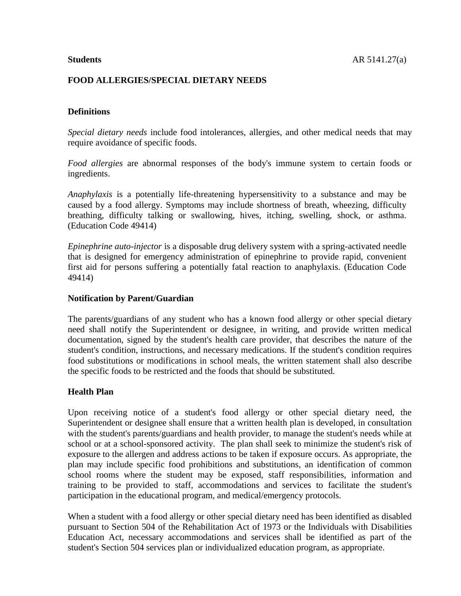## **FOOD ALLERGIES/SPECIAL DIETARY NEEDS**

# **Definitions**

*Special dietary needs* include food intolerances, allergies, and other medical needs that may require avoidance of specific foods.

*Food allergies* are abnormal responses of the body's immune system to certain foods or ingredients.

*Anaphylaxis* is a potentially life-threatening hypersensitivity to a substance and may be caused by a food allergy. Symptoms may include shortness of breath, wheezing, difficulty breathing, difficulty talking or swallowing, hives, itching, swelling, shock, or asthma. (Education Code 49414)

*Epinephrine auto-injector* is a disposable drug delivery system with a spring-activated needle that is designed for emergency administration of epinephrine to provide rapid, convenient first aid for persons suffering a potentially fatal reaction to anaphylaxis. (Education Code 49414)

## **Notification by Parent/Guardian**

The parents/guardians of any student who has a known food allergy or other special dietary need shall notify the Superintendent or designee, in writing, and provide written medical documentation, signed by the student's health care provider, that describes the nature of the student's condition, instructions, and necessary medications. If the student's condition requires food substitutions or modifications in school meals, the written statement shall also describe the specific foods to be restricted and the foods that should be substituted.

## **Health Plan**

Upon receiving notice of a student's food allergy or other special dietary need, the Superintendent or designee shall ensure that a written health plan is developed, in consultation with the student's parents/guardians and health provider, to manage the student's needs while at school or at a school-sponsored activity. The plan shall seek to minimize the student's risk of exposure to the allergen and address actions to be taken if exposure occurs. As appropriate, the plan may include specific food prohibitions and substitutions, an identification of common school rooms where the student may be exposed, staff responsibilities, information and training to be provided to staff, accommodations and services to facilitate the student's participation in the educational program, and medical/emergency protocols.

When a student with a food allergy or other special dietary need has been identified as disabled pursuant to Section 504 of the Rehabilitation Act of 1973 or the Individuals with Disabilities Education Act, necessary accommodations and services shall be identified as part of the student's Section 504 services plan or individualized education program, as appropriate.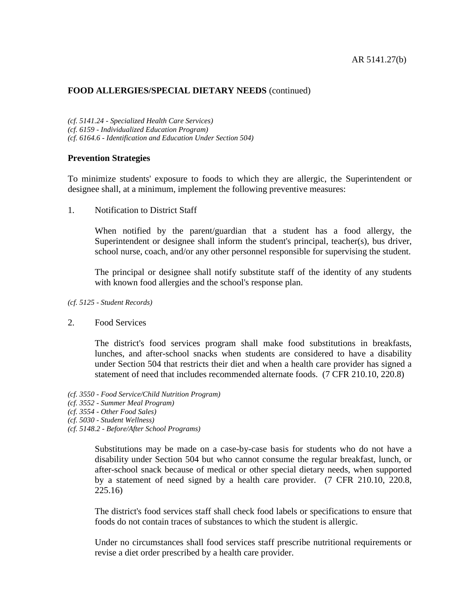*(cf. 5141.24 - Specialized Health Care Services) (cf. 6159 - Individualized Education Program) (cf. 6164.6 - Identification and Education Under Section 504)*

#### **Prevention Strategies**

To minimize students' exposure to foods to which they are allergic, the Superintendent or designee shall, at a minimum, implement the following preventive measures:

1. Notification to District Staff

When notified by the parent/guardian that a student has a food allergy, the Superintendent or designee shall inform the student's principal, teacher(s), bus driver, school nurse, coach, and/or any other personnel responsible for supervising the student.

The principal or designee shall notify substitute staff of the identity of any students with known food allergies and the school's response plan.

*(cf. 5125 - Student Records)*

#### 2. Food Services

The district's food services program shall make food substitutions in breakfasts, lunches, and after-school snacks when students are considered to have a disability under Section 504 that restricts their diet and when a health care provider has signed a statement of need that includes recommended alternate foods. (7 CFR 210.10, 220.8)

- *(cf. 3550 - Food Service/Child Nutrition Program)*
- *(cf. 3552 - Summer Meal Program)*
- *(cf. 3554 - Other Food Sales)*
- *(cf. 5030 - Student Wellness)*
- *(cf. 5148.2 - Before/After School Programs)*

Substitutions may be made on a case-by-case basis for students who do not have a disability under Section 504 but who cannot consume the regular breakfast, lunch, or after-school snack because of medical or other special dietary needs, when supported by a statement of need signed by a health care provider. (7 CFR 210.10, 220.8, 225.16)

The district's food services staff shall check food labels or specifications to ensure that foods do not contain traces of substances to which the student is allergic.

Under no circumstances shall food services staff prescribe nutritional requirements or revise a diet order prescribed by a health care provider.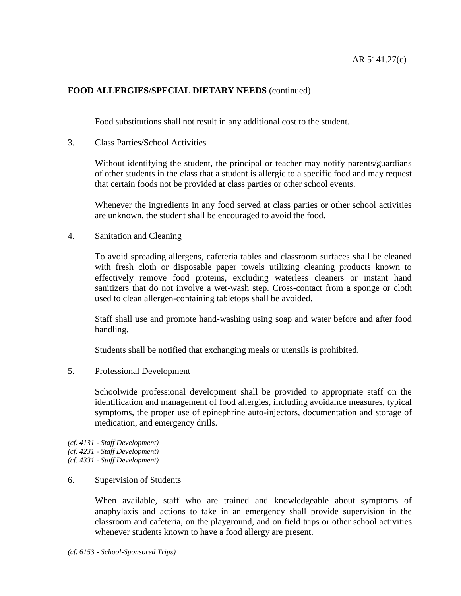Food substitutions shall not result in any additional cost to the student.

3. Class Parties/School Activities

Without identifying the student, the principal or teacher may notify parents/guardians of other students in the class that a student is allergic to a specific food and may request that certain foods not be provided at class parties or other school events.

Whenever the ingredients in any food served at class parties or other school activities are unknown, the student shall be encouraged to avoid the food.

4. Sanitation and Cleaning

To avoid spreading allergens, cafeteria tables and classroom surfaces shall be cleaned with fresh cloth or disposable paper towels utilizing cleaning products known to effectively remove food proteins, excluding waterless cleaners or instant hand sanitizers that do not involve a wet-wash step. Cross-contact from a sponge or cloth used to clean allergen-containing tabletops shall be avoided.

Staff shall use and promote hand-washing using soap and water before and after food handling.

Students shall be notified that exchanging meals or utensils is prohibited.

5. Professional Development

Schoolwide professional development shall be provided to appropriate staff on the identification and management of food allergies, including avoidance measures, typical symptoms, the proper use of epinephrine auto-injectors, documentation and storage of medication, and emergency drills.

*(cf. 4131 - Staff Development) (cf. 4231 - Staff Development) (cf. 4331 - Staff Development)*

#### 6. Supervision of Students

When available, staff who are trained and knowledgeable about symptoms of anaphylaxis and actions to take in an emergency shall provide supervision in the classroom and cafeteria, on the playground, and on field trips or other school activities whenever students known to have a food allergy are present.